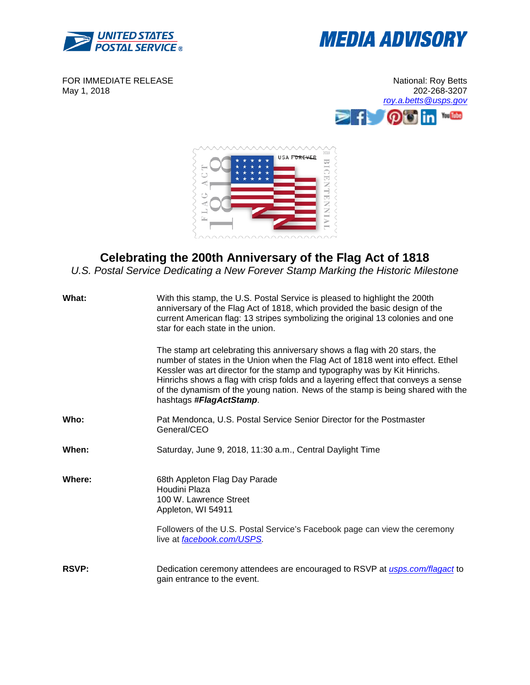



FOR IMMEDIATE RELEASE May 1, 2018





## **Celebrating the 200th Anniversary of the Flag Act of 1818**

*U.S. Postal Service Dedicating a New Forever Stamp Marking the Historic Milestone*

| What:        | With this stamp, the U.S. Postal Service is pleased to highlight the 200th<br>anniversary of the Flag Act of 1818, which provided the basic design of the<br>current American flag: 13 stripes symbolizing the original 13 colonies and one<br>star for each state in the union.                                                                                                                                                               |
|--------------|------------------------------------------------------------------------------------------------------------------------------------------------------------------------------------------------------------------------------------------------------------------------------------------------------------------------------------------------------------------------------------------------------------------------------------------------|
|              | The stamp art celebrating this anniversary shows a flag with 20 stars, the<br>number of states in the Union when the Flag Act of 1818 went into effect. Ethel<br>Kessler was art director for the stamp and typography was by Kit Hinrichs.<br>Hinrichs shows a flag with crisp folds and a layering effect that conveys a sense<br>of the dynamism of the young nation. News of the stamp is being shared with the<br>hashtags #FlagActStamp. |
| Who:         | Pat Mendonca, U.S. Postal Service Senior Director for the Postmaster<br>General/CEO                                                                                                                                                                                                                                                                                                                                                            |
| When:        | Saturday, June 9, 2018, 11:30 a.m., Central Daylight Time                                                                                                                                                                                                                                                                                                                                                                                      |
| Where:       | 68th Appleton Flag Day Parade<br>Houdini Plaza<br>100 W. Lawrence Street<br>Appleton, WI 54911                                                                                                                                                                                                                                                                                                                                                 |
|              | Followers of the U.S. Postal Service's Facebook page can view the ceremony<br>live at facebook.com/USPS.                                                                                                                                                                                                                                                                                                                                       |
| <b>RSVP:</b> | Dedication ceremony attendees are encouraged to RSVP at <i>usps.com/flagact</i> to<br>gain entrance to the event.                                                                                                                                                                                                                                                                                                                              |